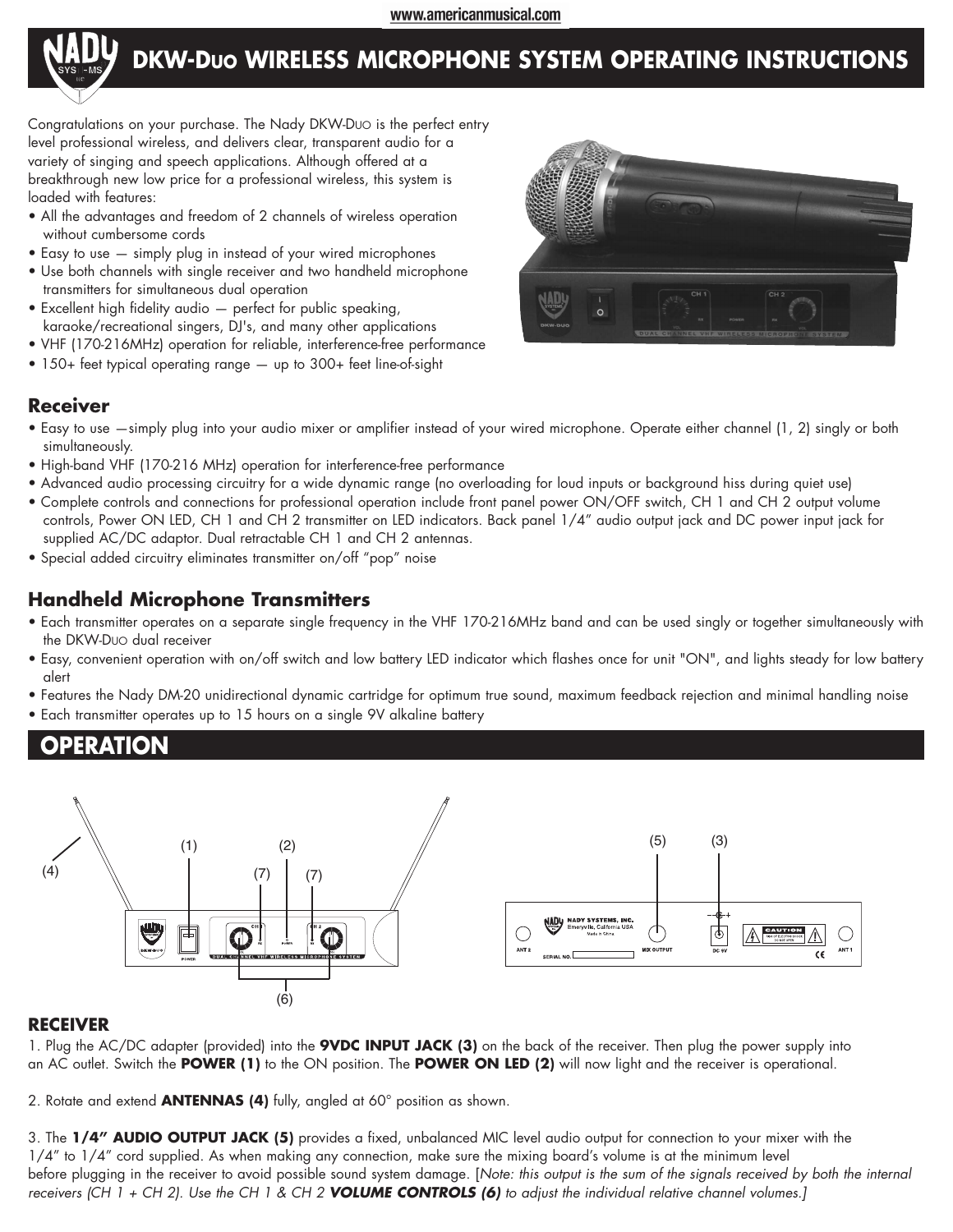www.americanmusical.com



# **DKW-DUO WIRELESS MICROPHONE SYSTEM OPERATING INSTRUCTIONS**

Congratulations on your purchase. The Nady DKW-DUO is the perfect entry level professional wireless, and delivers clear, transparent audio for a variety of singing and speech applications. Although offered at a breakthrough new low price for a professional wireless, this system is loaded with features:

- All the advantages and freedom of 2 channels of wireless operation without cumbersome cords
- Easy to use simply plug in instead of your wired microphones
- Use both channels with single receiver and two handheld microphone transmitters for simultaneous dual operation
- Excellent high fidelity audio perfect for public speaking, karaoke/recreational singers, DJ's, and many other applications
- VHF (170-216MHz) operation for reliable, interference-free performance
- 150+ feet typical operating range up to 300+ feet line-of-sight



## **Receiver**

- Easy to use —simply plug into your audio mixer or amplifier instead of your wired microphone. Operate either channel (1, 2) singly or both simultaneously.
- High-band VHF (170-216 MHz) operation for interference-free performance
- Advanced audio processing circuitry for a wide dynamic range (no overloading for loud inputs or background hiss during quiet use)
- Complete controls and connections for professional operation include front panel power ON/OFF switch, CH 1 and CH 2 output volume controls, Power ON LED, CH 1 and CH 2 transmitter on LED indicators. Back panel 1/4" audio output jack and DC power input jack for supplied AC/DC adaptor. Dual retractable CH 1 and CH 2 antennas.
- Special added circuitry eliminates transmitter on/off "pop" noise

# **Handheld Microphone Transmitters**

- Each transmitter operates on a separate single frequency in the VHF 170-216MHz band and can be used singly or together simultaneously with the DKW-DUO dual receiver
- Easy, convenient operation with on/off switch and low battery LED indicator which flashes once for unit "ON", and lights steady for low battery alert
- Features the Nady DM-20 unidirectional dynamic cartridge for optimum true sound, maximum feedback rejection and minimal handling noise
- Each transmitter operates up to 15 hours on a single 9V alkaline battery

# **OPERATION**



### **RECEIVER**

1. Plug the AC/DC adapter (provided) into the **9VDC INPUT JACK (3)** on the back of the receiver. Then plug the power supply into an AC outlet. Switch the **POWER (1)** to the ON position. The **POWER ON LED (2)** will now light and the receiver is operational.

2. Rotate and extend **ANTENNAS (4)** fully, angled at 60° position as shown.

3. The **1/4" AUDIO OUTPUT JACK (5)** provides a fixed, unbalanced MIC level audio output for connection to your mixer with the 1/4" to 1/4" cord supplied. As when making any connection, make sure the mixing board's volume is at the minimum level before plugging in the receiver to avoid possible sound system damage. [*Note: this output is the sum of the signals received by both the internal receivers (CH 1 + CH 2). Use the CH 1 & CH 2 VOLUME CONTROLS (6) to adjust the individual relative channel volumes.]*